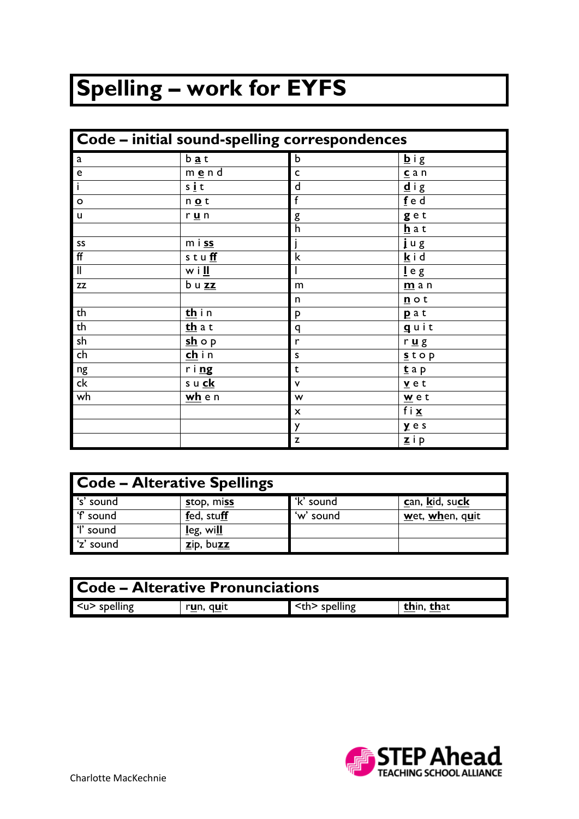## **Spelling – work for EYFS**

| Code - initial sound-spelling correspondences |                              |                                                       |                              |  |
|-----------------------------------------------|------------------------------|-------------------------------------------------------|------------------------------|--|
| ${\bf a}$                                     | <u>b a</u> t                 | b                                                     | $\underline{\mathbf{b}}$ i g |  |
| $\overline{e}$                                | m e n d                      | $\mathsf{C}$                                          | $c$ a n                      |  |
| $\overline{1}$                                | sit                          | $\overline{\mathsf{d}}$                               | $\overline{d}$ i g           |  |
| $\overline{\circ}$                            | $n \underline{o} t$          | f                                                     | f e d                        |  |
| $\mathsf{u}$                                  | r <u>u</u> n                 | g                                                     | get                          |  |
|                                               |                              | $\mathsf{h}$                                          | h a t                        |  |
| $\overline{\text{ss}}$                        | m i ss                       |                                                       | $\overline{\mathbf{j}}$ u g  |  |
| $\overline{\textsf{ff}}$                      | stuff                        | $\overline{\mathsf{k}}$                               | $\overline{\mathbf{k}}$ i d  |  |
| $\overline{\mathbb{I}}$                       | w ill                        |                                                       | leq                          |  |
| $Z\bar{Z}$                                    | buzz                         | m                                                     | m a n                        |  |
|                                               |                              | n                                                     | $n \circ t$                  |  |
| $\overline{th}$                               | th i $\overline{\mathsf{n}}$ | P                                                     | $\mathbf{p}$ a t             |  |
| th                                            | th a t                       | q                                                     | quit                         |  |
| sh                                            | sh o p                       | $\mathsf{r}$                                          | $r \underline{u} g$          |  |
| ch                                            | $ch$ in                      | $\mathsf S$                                           | $s$ to p                     |  |
| $\frac{ng}{ck}$                               | r i ng                       | $\mathbf t$                                           | $t$ a $p$                    |  |
|                                               | s u ck                       | $\mathsf{v}$                                          | $v$ e t                      |  |
| wh                                            | wh e n                       | w                                                     | $w$ e t                      |  |
|                                               |                              | $\pmb{\times}$                                        | $f$ i $\underline{x}$        |  |
|                                               |                              | y                                                     | y e s                        |  |
|                                               |                              | $\mathbf{Z}% ^{T}=\mathbf{Z}^{T}\times\mathbf{Z}^{T}$ | zip                          |  |

| <b>Code - Alterative Spellings</b> |                                            |           |                 |  |
|------------------------------------|--------------------------------------------|-----------|-----------------|--|
| 's' sound                          | stop, miss                                 | 'k' sound | can, kid, suck  |  |
| 'f sound                           | fed, stuff                                 | 'w' sound | wet, when, quit |  |
| 'l' sound                          | leg, will                                  |           |                 |  |
| 'z' sound                          | $\mathbf{z}$ ip, bu $\mathbf{z}\mathbf{z}$ |           |                 |  |

| Code – Alterative Pronunciations |           |                  |            |  |  |
|----------------------------------|-----------|------------------|------------|--|--|
| $\leq$ u $>$ spelling            | run, quit | $<$ th> spelling | thin, that |  |  |